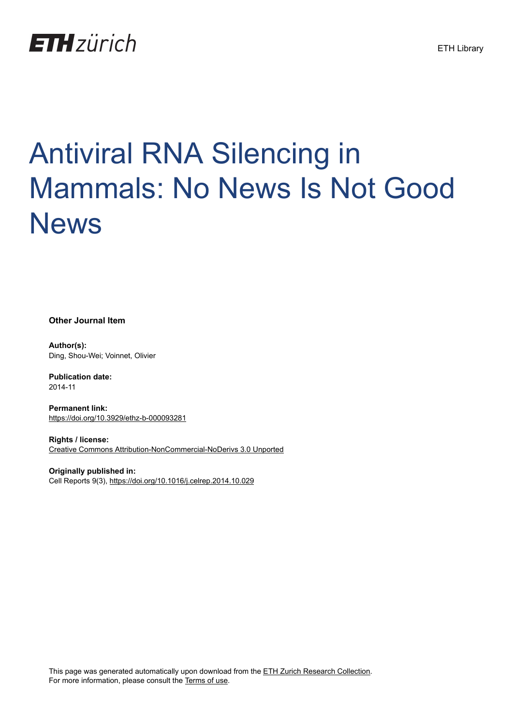# **ETH**zürich

# Antiviral RNA Silencing in Mammals: No News Is Not Good News

**Other Journal Item**

**Author(s):** Ding, Shou-Wei; Voinnet, Olivier

**Publication date:** 2014-11

**Permanent link:** <https://doi.org/10.3929/ethz-b-000093281>

**Rights / license:** [Creative Commons Attribution-NonCommercial-NoDerivs 3.0 Unported](http://creativecommons.org/licenses/by-nc-nd/3.0/)

**Originally published in:** Cell Reports 9(3),<https://doi.org/10.1016/j.celrep.2014.10.029>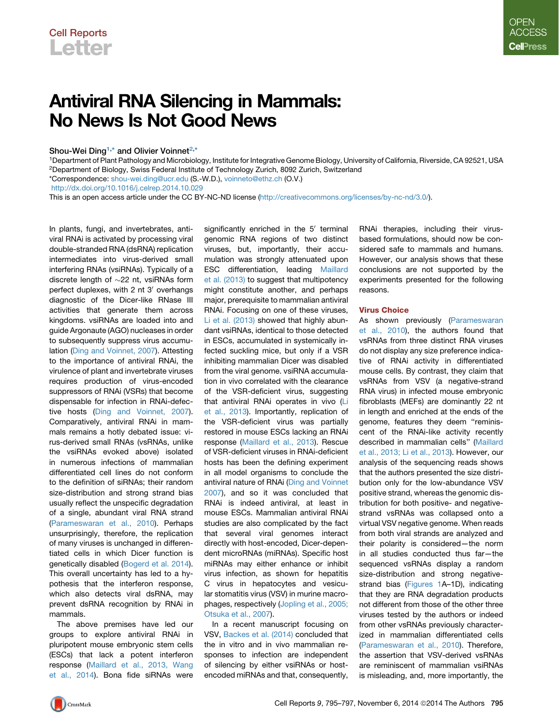# Antiviral RNA Silencing in Mammals: No News Is Not Good News

### Shou-Wei Ding<sup>1,\*</sup> and Olivier Voinnet<sup>2,\*</sup>

1Department of Plant Pathology and Microbiology, Institute for Integrative Genome Biology, University of California, Riverside, CA 92521, USA 2Department of Biology, Swiss Federal Institute of Technology Zurich, 8092 Zurich, Switzerland

\*Correspondence: [shou-wei.ding@ucr.edu](mailto:shou-wei.ding@ucr.edu) (S.-W.D.), [voinneto@ethz.ch](mailto:voinneto@ethz.ch) (O.V.)

<http://dx.doi.org/10.1016/j.celrep.2014.10.029>

This is an open access article under the CC BY-NC-ND license ([http://creativecommons.org/licenses/by-nc-nd/3.0/\)](http://creativecommons.org/licenses/by-nc-nd/3.0/).

In plants, fungi, and invertebrates, antiviral RNAi is activated by processing viral double-stranded RNA (dsRNA) replication intermediates into virus-derived small interfering RNAs (vsiRNAs). Typically of a discrete length of  $\sim$ 22 nt, vsiRNAs form perfect duplexes, with 2 nt 3' overhangs diagnostic of the Dicer-like RNase III activities that generate them across kingdoms. vsiRNAs are loaded into and guide Argonaute (AGO) nucleases in order to subsequently suppress virus accumulation [\(Ding and Voinnet, 2007\)](#page-3-0). Attesting to the importance of antiviral RNAi, the virulence of plant and invertebrate viruses requires production of virus-encoded suppressors of RNAi (VSRs) that become dispensable for infection in RNAi-defective hosts ([Ding and Voinnet, 2007\)](#page-3-0). Comparatively, antiviral RNAi in mammals remains a hotly debated issue: virus-derived small RNAs (vsRNAs, unlike the vsiRNAs evoked above) isolated in numerous infections of mammalian differentiated cell lines do not conform to the definition of siRNAs; their random size-distribution and strong strand bias usually reflect the unspecific degradation of a single, abundant viral RNA strand [\(Parameswaran et al., 2010\)](#page-3-0). Perhaps unsurprisingly, therefore, the replication of many viruses is unchanged in differentiated cells in which Dicer function is genetically disabled [\(Bogerd et al. 2014\)](#page-3-0). This overall uncertainty has led to a hypothesis that the interferon response, which also detects viral dsRNA, may prevent dsRNA recognition by RNAi in mammals.

The above premises have led our groups to explore antiviral RNAi in pluripotent mouse embryonic stem cells (ESCs) that lack a potent interferon response ([Maillard et al., 2013, Wang](#page-3-0) [et al., 2014](#page-3-0)). Bona fide siRNAs were

significantly enriched in the  $5'$  terminal genomic RNA regions of two distinct viruses, but, importantly, their accumulation was strongly attenuated upon ESC differentiation, leading [Maillard](#page-3-0) [et al. \(2013\)](#page-3-0) to suggest that multipotency might constitute another, and perhaps major, prerequisite to mammalian antiviral RNAi. Focusing on one of these viruses, [Li et al. \(2013\)](#page-3-0) showed that highly abundant vsiRNAs, identical to those detected in ESCs, accumulated in systemically infected suckling mice, but only if a VSR inhibiting mammalian Dicer was disabled from the viral genome. vsiRNA accumulation in vivo correlated with the clearance of the VSR-deficient virus, suggesting that antiviral RNAi operates in vivo [\(Li](#page-3-0) [et al., 2013](#page-3-0)). Importantly, replication of the VSR-deficient virus was partially restored in mouse ESCs lacking an RNAi response [\(Maillard et al., 2013](#page-3-0)). Rescue of VSR-deficient viruses in RNAi-deficient hosts has been the defining experiment in all model organisms to conclude the antiviral nature of RNAi [\(Ding and Voinnet](#page-3-0) [2007](#page-3-0)), and so it was concluded that RNAi is indeed antiviral, at least in mouse ESCs. Mammalian antiviral RNAi studies are also complicated by the fact that several viral genomes interact directly with host-encoded, Dicer-dependent microRNAs (miRNAs). Specific host miRNAs may either enhance or inhibit virus infection, as shown for hepatitis C virus in hepatocytes and vesicular stomatitis virus (VSV) in murine macrophages, respectively ([Jopling et al., 2005;](#page-3-0) [Otsuka et al., 2007\)](#page-3-0).

In a recent manuscript focusing on VSV, [Backes et al. \(2014\)](#page-3-0) concluded that the in vitro and in vivo mammalian responses to infection are independent of silencing by either vsiRNAs or hostencoded miRNAs and that, consequently,

RNAi therapies, including their virusbased formulations, should now be considered safe to mammals and humans. However, our analysis shows that these conclusions are not supported by the experiments presented for the following reasons.

As shown previously ([Parameswaran](#page-3-0) [et al., 2010](#page-3-0)), the authors found that vsRNAs from three distinct RNA viruses do not display any size preference indicative of RNAi activity in differentiated mouse cells. By contrast, they claim that vsRNAs from VSV (a negative-strand RNA virus) in infected mouse embryonic fibroblasts (MEFs) are dominantly 22 nt in length and enriched at the ends of the genome, features they deem "reminiscent of the RNAi-like activity recently described in mammalian cells'' [\(Maillard](#page-3-0) [et al., 2013; Li et al., 2013\)](#page-3-0). However, our analysis of the sequencing reads shows that the authors presented the size distribution only for the low-abundance VSV positive strand, whereas the genomic distribution for both positive- and negativestrand vsRNAs was collapsed onto a virtual VSV negative genome. When reads from both viral strands are analyzed and their polarity is considered—the norm in all studies conducted thus far—the sequenced vsRNAs display a random size-distribution and strong negativestrand bias [\(Figures 1A](#page-2-0)–1D), indicating that they are RNA degradation products not different from those of the other three viruses tested by the authors or indeed from other vsRNAs previously characterized in mammalian differentiated cells [\(Parameswaran et al., 2010](#page-3-0)). Therefore, the assertion that VSV-derived vsRNAs are reminiscent of mammalian vsiRNAs is misleading, and, more importantly, the

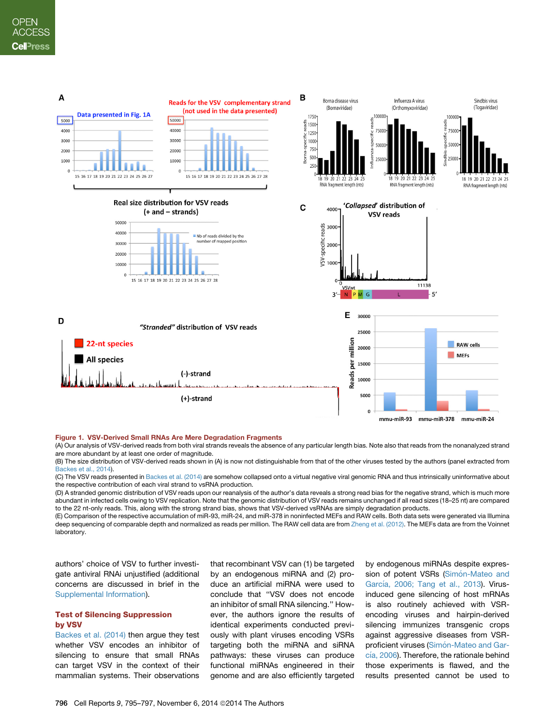<span id="page-2-0"></span>

#### Figure 1. VSV-Derived Small RNAs Are Mere Degradation Fragments

(A) Our analysis of VSV-derived reads from both viral strands reveals the absence of any particular length bias. Note also that reads from the nonanalyzed strand are more abundant by at least one order of magnitude.

(B) The size distribution of VSV-derived reads shown in (A) is now not distinguishable from that of the other viruses tested by the authors (panel extracted from [Backes et al., 2014\)](#page-3-0).

(C) The VSV reads presented in [Backes et al. \(2014\)](#page-3-0) are somehow collapsed onto a virtual negative viral genomic RNA and thus intrinsically uninformative about the respective contribution of each viral strand to vsRNA production.

(D) A stranded genomic distribution of VSV reads upon our reanalysis of the author's data reveals a strong read bias for the negative strand, which is much more abundant in infected cells owing to VSV replication. Note that the genomic distribution of VSV reads remains unchanged if all read sizes (18–25 nt) are compared to the 22 nt-only reads. This, along with the strong strand bias, shows that VSV-derived vsRNAs are simply degradation products.

(E) Comparison of the respective accumulation of miR-93, miR-24, and miR-378 in noninfected MEFs and RAW cells. Both data sets were generated via Illumina deep sequencing of comparable depth and normalized as reads per million. The RAW cell data are from [Zheng et al. \(2012\).](#page-3-0) The MEFs data are from the Voinnet laboratory.

authors' choice of VSV to further investigate antiviral RNAi unjustified (additional concerns are discussed in brief in the [Supplemental Information](#page-3-0)).

## Test of Silencing Suppression<br>bv VSV

**[Backes et al. \(2014\)](#page-3-0) then argue they test** whether VSV encodes an inhibitor of silencing to ensure that small RNAs can target VSV in the context of their mammalian systems. Their observations

that recombinant VSV can (1) be targeted by an endogenous miRNA and (2) produce an artificial miRNA were used to conclude that ''VSV does not encode an inhibitor of small RNA silencing.'' However, the authors ignore the results of identical experiments conducted previously with plant viruses encoding VSRs targeting both the miRNA and siRNA pathways: these viruses can produce functional miRNAs engineered in their genome and are also efficiently targeted

by endogenous miRNAs despite expression of potent VSRs (Simó[n-Mateo and](#page-3-0) García, 2006; Tang et al., 2013). Virusinduced gene silencing of host mRNAs is also routinely achieved with VSRencoding viruses and hairpin-derived silencing immunizes transgenic crops against aggressive diseases from VSRproficient viruses (Simó[n-Mateo and Gar](#page-3-0)cía, 2006). Therefore, the rationale behind those experiments is flawed, and the results presented cannot be used to